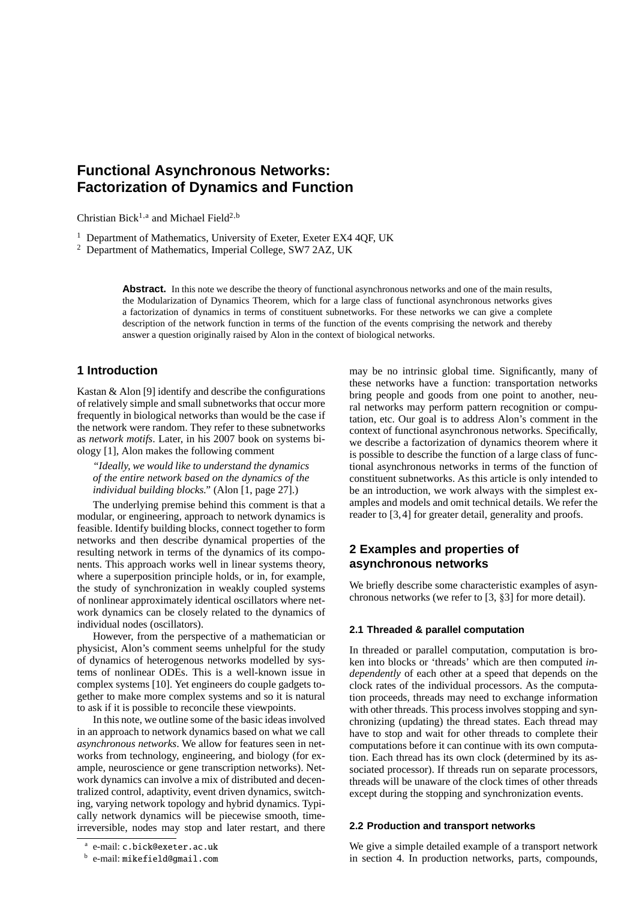# **Functional Asynchronous Networks: Factorization of Dynamics and Function**

Christian Bick<sup>1,a</sup> and Michael Field<sup>2,b</sup>

<sup>1</sup> Department of Mathematics, University of Exeter, Exeter EX4 4QF, UK

<sup>2</sup> Department of Mathematics, Imperial College, SW7 2AZ, UK

**Abstract.** In this note we describe the theory of functional asynchronous networks and one of the main results, the Modularization of Dynamics Theorem, which for a large class of functional asynchronous networks gives a factorization of dynamics in terms of constituent subnetworks. For these networks we can give a complete description of the network function in terms of the function of the events comprising the network and thereby answer a question originally raised by Alon in the context of biological networks.

# **1 Introduction**

Kastan & Alon [9] identify and describe the configurations of relatively simple and small subnetworks that occur more frequently in biological networks than would be the case if the network were random. They refer to these subnetworks as *network motifs*. Later, in his 2007 book on systems biology [1], Alon makes the following comment

*"Ideally, we would like to understand the dynamics of the entire network based on the dynamics of the individual building blocks."* (Alon [1, page 27].)

The underlying premise behind this comment is that a modular, or engineering, approach to network dynamics is feasible. Identify building blocks, connect together to form networks and then describe dynamical properties of the resulting network in terms of the dynamics of its components. This approach works well in linear systems theory, where a superposition principle holds, or in, for example, the study of synchronization in weakly coupled systems of nonlinear approximately identical oscillators where network dynamics can be closely related to the dynamics of individual nodes (oscillators).

However, from the perspective of a mathematician or physicist, Alon's comment seems unhelpful for the study of dynamics of heterogenous networks modelled by systems of nonlinear ODEs. This is a well-known issue in complex systems [10]. Yet engineers do couple gadgets together to make more complex systems and so it is natural to ask if it is possible to reconcile these viewpoints.

In this note, we outline some of the basic ideas involved in an approach to network dynamics based on what we call *asynchronous networks*. We allow for features seen in networks from technology, engineering, and biology (for example, neuroscience or gene transcription networks). Network dynamics can involve a mix of distributed and decentralized control, adaptivity, event driven dynamics, switching, varying network topology and hybrid dynamics. Typically network dynamics will be piecewise smooth, timeirreversible, nodes may stop and later restart, and there may be no intrinsic global time. Significantly, many of these networks have a function: transportation networks bring people and goods from one point to another, neural networks may perform pattern recognition or computation, etc. Our goal is to address Alon's comment in the context of functional asynchronous networks. Specifically, we describe a factorization of dynamics theorem where it is possible to describe the function of a large class of functional asynchronous networks in terms of the function of constituent subnetworks. As this article is only intended to be an introduction, we work always with the simplest examples and models and omit technical details. We refer the reader to [3,4] for greater detail, generality and proofs.

# **2 Examples and properties of asynchronous networks**

We briefly describe some characteristic examples of asynchronous networks (we refer to [3, §3] for more detail).

### **2.1 Threaded & parallel computation**

In threaded or parallel computation, computation is broken into blocks or 'threads' which are then computed *independently* of each other at a speed that depends on the clock rates of the individual processors. As the computation proceeds, threads may need to exchange information with other threads. This process involves stopping and synchronizing (updating) the thread states. Each thread may have to stop and wait for other threads to complete their computations before it can continue with its own computation. Each thread has its own clock (determined by its associated processor). If threads run on separate processors, threads will be unaware of the clock times of other threads except during the stopping and synchronization events.

### **2.2 Production and transport networks**

a e-mail: c.bick@exeter.ac.uk

 $^{\rm b}$  e-mail: <code>mikefield@gmail.com</code>

We give a simple detailed example of a transport network in section 4. In production networks, parts, compounds,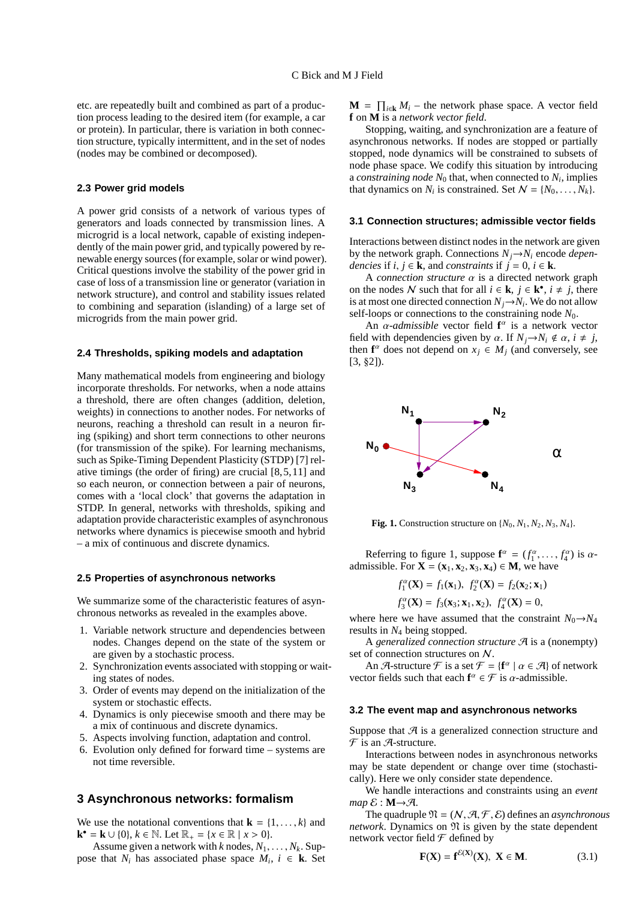etc. are repeatedly built and combined as part of a production process leading to the desired item (for example, a car or protein). In particular, there is variation in both connection structure, typically intermittent, and in the set of nodes (nodes may be combined or decomposed).

### **2.3 Power grid models**

A power grid consists of a network of various types of generators and loads connected by transmission lines. A microgrid is a local network, capable of existing independently of the main power grid, and typically powered by renewable energy sources (for example, solar or wind power). Critical questions involve the stability of the power grid in case of loss of a transmission line or generator (variation in network structure), and control and stability issues related to combining and separation (islanding) of a large set of microgrids from the main power grid.

#### **2.4 Thresholds, spiking models and adaptation**

Many mathematical models from engineering and biology incorporate thresholds. For networks, when a node attains a threshold, there are often changes (addition, deletion, weights) in connections to another nodes. For networks of neurons, reaching a threshold can result in a neuron firing (spiking) and short term connections to other neurons (for transmission of the spike). For learning mechanisms, such as Spike-Timing Dependent Plasticity (STDP) [7] relative timings (the order of firing) are crucial [8,5,11] and so each neuron, or connection between a pair of neurons, comes with a 'local clock' that governs the adaptation in STDP. In general, networks with thresholds, spiking and adaptation provide characteristic examples of asynchronous networks where dynamics is piecewise smooth and hybrid – a mix of continuous and discrete dynamics.

#### **2.5 Properties of asynchronous networks**

We summarize some of the characteristic features of asynchronous networks as revealed in the examples above.

- 1. Variable network structure and dependencies between nodes. Changes depend on the state of the system or are given by a stochastic process.
- 2. Synchronization events associated with stopping or waiting states of nodes.
- 3. Order of events may depend on the initialization of the system or stochastic effects.
- 4. Dynamics is only piecewise smooth and there may be a mix of continuous and discrete dynamics.
- 5. Aspects involving function, adaptation and control.
- 6. Evolution only defined for forward time systems are not time reversible.

## **3 Asynchronous networks: formalism**

We use the notational conventions that  $\mathbf{k} = \{1, \dots, k\}$  and **k**<sup>•</sup> = **k** ∪ {0},  $k \in \mathbb{N}$ . Let  $\mathbb{R}_+ = \{x \in \mathbb{R} \mid x > 0\}$ .

Assume given a network with  $k$  nodes,  $N_1, \ldots, N_k$ . Suppose that  $N_i$  has associated phase space  $M_i$ ,  $i \in \mathbf{k}$ . Set

 $\mathbf{M} = \prod_{i \in \mathbf{k}} M_i$  – the network phase space. A vector field **f** on **M** is a *network vector field*.

Stopping, waiting, and synchronization are a feature of asynchronous networks. If nodes are stopped or partially stopped, node dynamics will be constrained to subsets of node phase space. We codify this situation by introducing a *constraining node N*<sup>0</sup> that, when connected to *N<sup>i</sup>* , implies that dynamics on  $N_i$  is constrained. Set  $N = \{N_0, \ldots, N_k\}.$ 

#### **3.1 Connection structures; admissible vector fields**

Interactions between distinct nodes in the network are given by the network graph. Connections  $N_i \rightarrow N_i$  encode *dependencies* if  $i, j \in \mathbf{k}$ , and *constraints* if  $j = 0, i \in \mathbf{k}$ .

A *connection structure* α is a directed network graph on the nodes N such that for all  $i \in \mathbf{k}$ ,  $j \in \mathbf{k}^{\bullet}$ ,  $i \neq j$ , there is at most one directed connection  $N_j \rightarrow N_i$ . We do not allow self-loops or connections to the constraining node *N*0.

An  $\alpha$ -*admissible* vector field  $f^{\alpha}$  is a network vector field with dependencies given by  $\alpha$ . If  $N_i \rightarrow N_i \notin \alpha$ ,  $i \neq j$ , then  $f^{\alpha}$  does not depend on  $x_j \in M_j$  (and conversely, see [3, §2]).



Fig. 1. Construction structure on  $\{N_0, N_1, N_2, N_3, N_4\}$ .

Referring to figure 1, suppose  $f^{\alpha} = (f_1^{\alpha}, \dots, f_4^{\alpha})$  is  $\alpha$ admissible. For  $X = (x_1, x_2, x_3, x_4) \in M$ , we have

$$
f_1^{\alpha}(\mathbf{X}) = f_1(\mathbf{x}_1), f_2^{\alpha}(\mathbf{X}) = f_2(\mathbf{x}_2; \mathbf{x}_1)
$$

$$
f_3^{\alpha}(\mathbf{X}) = f_3(\mathbf{x}_3; \mathbf{x}_1, \mathbf{x}_2), \ f_4^{\alpha}(\mathbf{X}) = 0,
$$

where here we have assumed that the constraint  $N_0 \rightarrow N_4$ results in *N*<sup>4</sup> being stopped.

A *generalized connection structure* A is a (nonempty) set of connection structures on N.

An A-structure F is a set  $\mathcal{F} = \{ \mathbf{f}^{\alpha} \mid \alpha \in \mathcal{A} \}$  of network vector fields such that each  $f^{\alpha} \in \mathcal{F}$  is  $\alpha$ -admissible.

#### **3.2 The event map and asynchronous networks**

Suppose that  $\mathcal A$  is a generalized connection structure and  $\mathcal F$  is an  $\mathcal A$ -structure.

Interactions between nodes in asynchronous networks may be state dependent or change over time (stochastically). Here we only consider state dependence.

We handle interactions and constraints using an *event*  $map \& \colon M \rightarrow \mathcal{A}.$ 

The quadruple  $\mathfrak{N} = (N, \mathcal{A}, \mathcal{F}, \mathcal{E})$  defines an *asynchronous network*. Dynamics on  $\mathfrak N$  is given by the state dependent network vector field  $\mathcal F$  defined by

$$
\mathbf{F}(\mathbf{X}) = \mathbf{f}^{\mathcal{E}(\mathbf{X})}(\mathbf{X}), \ \mathbf{X} \in \mathbf{M}.\tag{3.1}
$$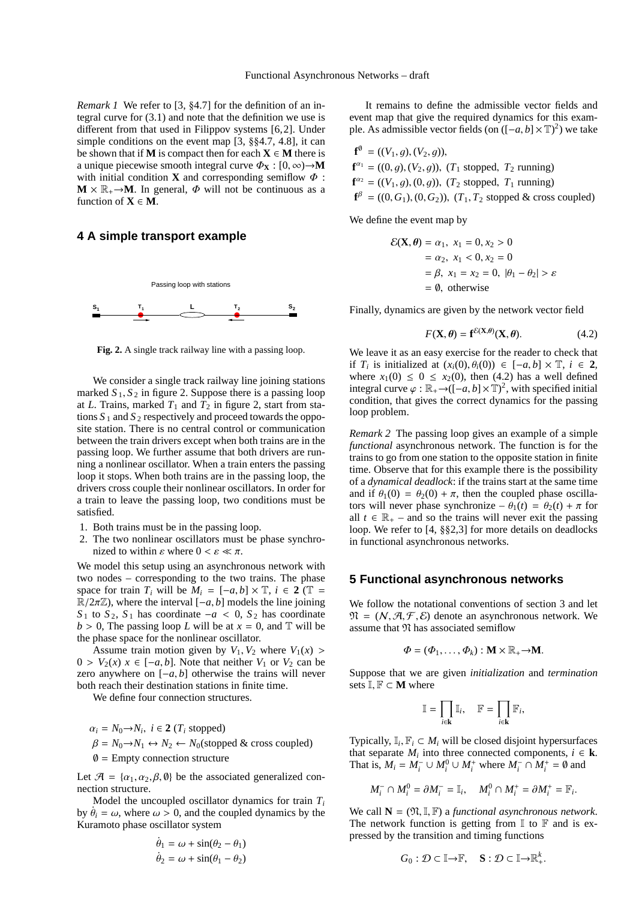*Remark 1* We refer to [3, §4.7] for the definition of an integral curve for (3.1) and note that the definition we use is different from that used in Filippov systems [6,2]. Under simple conditions on the event map [3, §§4.7, 4.8], it can be shown that if **M** is compact then for each  $X \in M$  there is a unique piecewise smooth integral curve  $\Phi_{\mathbf{X}} : [0, \infty) \to \mathbf{M}$ with initial condition **X** and corresponding semiflow  $\Phi$ :  $M \times \mathbb{R}_+ \rightarrow M$ . In general,  $\Phi$  will not be continuous as a function of  $X \in M$ .

# **4 A simple transport example**



**Fig. 2.** A single track railway line with a passing loop.

We consider a single track railway line joining stations marked  $S_1$ ,  $S_2$  in figure 2. Suppose there is a passing loop at *L*. Trains, marked  $T_1$  and  $T_2$  in figure 2, start from stations  $S_1$  and  $S_2$  respectively and proceed towards the opposite station. There is no central control or communication between the train drivers except when both trains are in the passing loop. We further assume that both drivers are running a nonlinear oscillator. When a train enters the passing loop it stops. When both trains are in the passing loop, the drivers cross couple their nonlinear oscillators. In order for a train to leave the passing loop, two conditions must be satisfied.

- 1. Both trains must be in the passing loop.
- 2. The two nonlinear oscillators must be phase synchronized to within  $\varepsilon$  where  $0 < \varepsilon \ll \pi$ .

We model this setup using an asynchronous network with two nodes – corresponding to the two trains. The phase space for train  $T_i$  will be  $M_i = [-a, b] \times \mathbb{T}$ ,  $i \in 2 \mathbb{T} =$  $\mathbb{R}/2\pi\mathbb{Z}$ ), where the interval  $[-a, b]$  models the line joining *S*<sup>1</sup> to *S*<sup>2</sup>, *S*<sup>1</sup> has coordinate −*a* < 0, *S*<sup>2</sup> has coordinate  $b > 0$ , The passing loop *L* will be at  $x = 0$ , and T will be the phase space for the nonlinear oscillator.

Assume train motion given by  $V_1$ ,  $V_2$  where  $V_1(x)$  $0 > V_2(x)$   $x \in [-a, b]$ . Note that neither  $V_1$  or  $V_2$  can be zero anywhere on [−*a*, *b*] otherwise the trains will never both reach their destination stations in finite time.

We define four connection structures.

 $\alpha_i = N_0 \rightarrow N_i$ ,  $i \in \mathbf{2}$  ( $T_i$  stopped)  $\beta = N_0 \rightarrow N_1 \leftrightarrow N_2 \leftarrow N_0$ (stopped & cross coupled)  $\varnothing$  = Empty connection structure

Let  $\mathcal{A} = {\alpha_1, \alpha_2, \beta, \emptyset}$  be the associated generalized connection structure.

Model the uncoupled oscillator dynamics for train *T<sup>i</sup>* by  $\dot{\theta}_i = \omega$ , where  $\omega > 0$ , and the coupled dynamics by the Kuramoto phase oscillator system

$$
\dot{\theta}_1 = \omega + \sin(\theta_2 - \theta_1)
$$
  

$$
\dot{\theta}_2 = \omega + \sin(\theta_1 - \theta_2)
$$

It remains to define the admissible vector fields and event map that give the required dynamics for this example. As admissible vector fields (on  $([-a, b] \times \mathbb{T})^2$ ) we take

$$
\mathbf{f}^{\emptyset} = ((V_1, g), (V_2, g)),
$$
  
\n
$$
\mathbf{f}^{\alpha_1} = ((0, g), (V_2, g)), (T_1 \text{ stopped}, T_2 \text{ running})
$$
  
\n
$$
\mathbf{f}^{\alpha_2} = ((V_1, g), (0, g)), (T_2 \text{ stopped}, T_1 \text{ running})
$$
  
\n
$$
\mathbf{f}^{\beta} = ((0, G_1), (0, G_2)), (T_1, T_2 \text{ stopped & cross coupled})
$$

We define the event map by

$$
\mathcal{E}(\mathbf{X}, \theta) = \alpha_1, \ x_1 = 0, x_2 > 0
$$
  
=  $\alpha_2, \ x_1 < 0, x_2 = 0$   
=  $\beta, \ x_1 = x_2 = 0, |\theta_1 - \theta_2| > \varepsilon$   
= 0, otherwise

Finally, dynamics are given by the network vector field

$$
F(\mathbf{X}, \theta) = \mathbf{f}^{\mathcal{E}(\mathbf{X}, \theta)}(\mathbf{X}, \theta).
$$
 (4.2)

We leave it as an easy exercise for the reader to check that if  $T_i$  is initialized at  $(x_i(0), \theta_i(0)) \in [-a, b] \times \mathbb{T}$ ,  $i \in \mathbf{2}$ , where  $x_1(0) \leq 0 \leq x_2(0)$ , then (4.2) has a well defined integral curve  $\varphi : \mathbb{R}_+ \to (-a, b] \times \mathbb{T})^2$ , with specified initial condition, that gives the correct dynamics for the passing loop problem.

*Remark 2* The passing loop gives an example of a simple *functional* asynchronous network. The function is for the trains to go from one station to the opposite station in finite time. Observe that for this example there is the possibility of a *dynamical deadlock*: if the trains start at the same time and if  $\theta_1(0) = \theta_2(0) + \pi$ , then the coupled phase oscillators will never phase synchronize –  $\theta_1(t) = \theta_2(t) + \pi$  for all  $t \in \mathbb{R}_+$  – and so the trains will never exit the passing loop. We refer to [4, §§2,3] for more details on deadlocks in functional asynchronous networks.

# **5 Functional asynchronous networks**

We follow the notational conventions of section 3 and let  $\mathfrak{N} = (N, \mathcal{A}, \mathcal{F}, \mathcal{E})$  denote an asynchronous network. We assume that  $\mathfrak N$  has associated semiflow

$$
\Phi=(\Phi_1,\ldots,\Phi_k): \mathbf{M}\times\mathbb{R}_+\to\mathbf{M}.
$$

Suppose that we are given *initialization* and *termination* sets I, F ⊂ **M** where

$$
\mathbb{I} = \prod_{i \in \mathbf{k}} \mathbb{I}_i, \quad \mathbb{F} = \prod_{i \in \mathbf{k}} \mathbb{F}_i,
$$

Typically,  $\mathbb{I}_i$ ,  $\mathbb{F}_i \subset M_i$  will be closed disjoint hypersurfaces that separate  $M_i$  into three connected components,  $i \in \mathbf{k}$ . That is,  $M_i = M_i^- \cup M_i^0 \cup M_i^+$  where  $M_i^- \cap M_i^+ = \emptyset$  and

$$
M_i^- \cap M_i^0 = \partial M_i^- = \mathbb{I}_i, \quad M_i^0 \cap M_i^+ = \partial M_i^+ = \mathbb{F}_i
$$

.

.

We call  $N = (\mathfrak{N}, \mathbb{I}, \mathbb{F})$  a *functional asynchronous network*. The network function is getting from  $\mathbb I$  to  $\mathbb F$  and is expressed by the transition and timing functions

$$
G_0: \mathcal{D} \subset \mathbb{I} \rightarrow \mathbb{F}, \quad \mathbf{S}: \mathcal{D} \subset \mathbb{I} \rightarrow \mathbb{R}^k_+
$$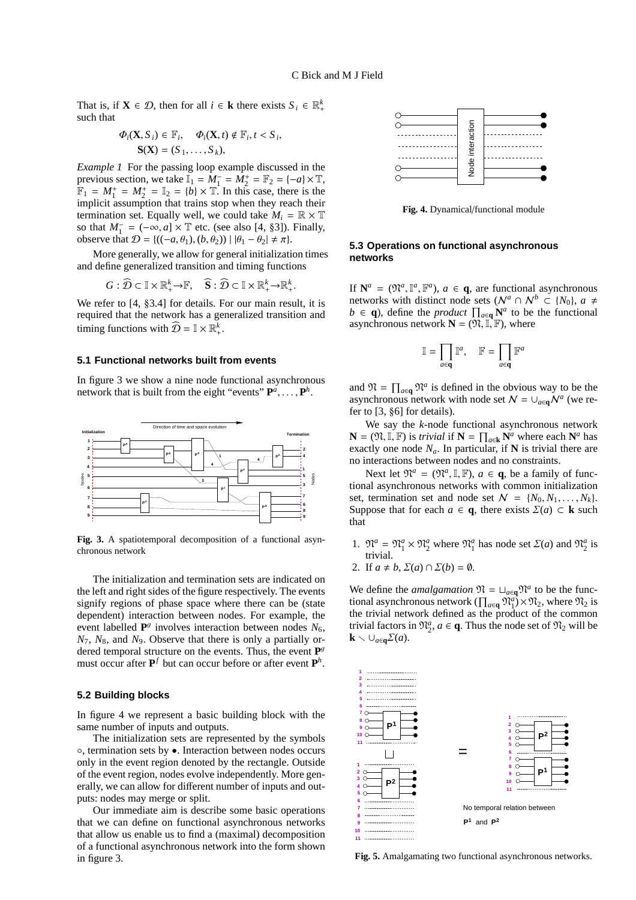That is, if  $X \in \mathcal{D}$ , then for all  $i \in \mathbf{k}$  there exists  $S_i \in \mathbb{R}_+^k$ such that

$$
\Phi_i(\mathbf{X}, S_i) \in \mathbb{F}_i, \quad \Phi_i(\mathbf{X}, t) \notin \mathbb{F}_i, t < S_i, \mathbf{S}(\mathbf{X}) = (S_1, \dots, S_k),
$$

*Example 1* For the passing loop example discussed in the previous section, we take  $\mathbb{I}_1 = \dot{M}_1^- = \dot{M}_2^+ = \mathbb{F}_2 = \{-a\} \times \mathbb{T}$ ,  $\mathbb{F}_1 = M_1^+ = M_2^+ = \mathbb{I}_2 = \{b\} \times \mathbb{T}$ . In this case, there is the implicit assumption that trains stop when they reach their termination set. Equally well, we could take  $M_i = \mathbb{R} \times \mathbb{T}$ so that  $M_1^- = (-\infty, a] \times \mathbb{T}$  etc. (see also [4, §3]). Finally, observe that  $D = \{ ((-a, \theta_1), (b, \theta_2)) | |\theta_1 - \theta_2| \neq \pi \}.$ 

More generally, we allow for general initialization times and define generalized transition and timing functions

 $G: \widehat{\mathcal{D}} \subset \mathbb{I} \times \mathbb{R}^k_+ \rightarrow \mathbb{F}, \quad \widehat{\mathbf{S}}: \widehat{\mathcal{D}} \subset \mathbb{I} \times \mathbb{R}^k_+ \rightarrow \mathbb{R}^k_+.$ 

We refer to [4, §3.4] for details. For our main result, it is required that the network has a generalized transition and timing functions with  $\widehat{\mathcal{D}} = \mathbb{I} \times \mathbb{R}^k_+$ .

### **5.1 Functional networks built from events**

In figure 3 we show a nine node functional asynchronous network that is built from the eight "events"  $P^a$ , ...,  $P^h$ .



**Fig. 3.** A spatiotemporal decomposition of a functional asynchronous network

The initialization and termination sets are indicated on the left and right sides of the figure respectively. The events signify regions of phase space where there can be (state dependent) interaction between nodes. For example, the event labelled  $P^g$  involves interaction between nodes  $N_6$ , *N*7, *N*8, and *N*9. Observe that there is only a partially ordered temporal structure on the events. Thus, the event **P** g must occur after  $P^f$  but can occur before or after event  $P^h$ .

#### **5.2 Building blocks**

In figure 4 we represent a basic building block with the same number of inputs and outputs.

The initialization sets are represented by the symbols ◦, termination sets by •. Interaction between nodes occurs only in the event region denoted by the rectangle. Outside of the event region, nodes evolve independently. More generally, we can allow for different number of inputs and outputs: nodes may merge or split.

Our immediate aim is describe some basic operations that we can define on functional asynchronous networks that allow us enable us to find a (maximal) decomposition of a functional asynchronous network into the form shown in figure 3.



**Fig. 4.** Dynamical/functional module

### **5.3 Operations on functional asynchronous networks**

If  $N^a = (\mathfrak{N}^a, \mathbb{I}^a, \mathbb{F}^a)$ ,  $a \in \mathbf{q}$ , are functional asynchronous networks with distinct node sets ( $\mathcal{N}^a \cap \mathcal{N}^b \subset \{N_0\}$ ,  $a \neq$ *b* ∈ **q**), define the *product*  $\prod_{a \in \mathbf{q}} \mathbf{N}^a$  to be the functional asynchronous network  $N = (\mathfrak{N}, \mathbb{I}, \mathbb{F})$ , where

$$
\mathbb{I} = \prod_{a \in \mathbf{q}} \mathbb{I}^a, \quad \mathbb{F} = \prod_{a \in \mathbf{q}} \mathbb{F}^a
$$

and  $\mathfrak{N} = \prod_{a \in \mathbf{q}} \mathfrak{N}^a$  is defined in the obvious way to be the asynchronous network with node set  $N = \bigcup_{a \in \mathbf{q}} N^a$  (we refer to [3, §6] for details).

We say the *k*-node functional asynchronous network **N** =  $(\mathfrak{N}, \mathbb{I}, \mathbb{F})$  is *trivial* if **N** =  $\prod_{a \in \mathbf{k}} \mathbf{N}^a$  where each  $\mathbf{N}^a$  has exactly one node  $N_a$ . In particular, if **N** is trivial there are no interactions between nodes and no constraints.

Next let  $\mathfrak{N}^a = (\mathfrak{N}^a, \mathbb{I}, \mathbb{F})$ ,  $a \in \mathbf{q}$ , be a family of functional asynchronous networks with common initialization set, termination set and node set  $N = \{N_0, N_1, \ldots, N_k\}.$ Suppose that for each  $a \in \mathbf{a}$ , there exists  $\Sigma(a) \subset \mathbf{k}$  such that

- 1.  $\mathfrak{N}^a = \mathfrak{N}^a_1 \times \mathfrak{N}^a_2$  where  $\mathfrak{N}^a_1$  has node set  $\Sigma(a)$  and  $\mathfrak{N}^a_2$  is trivial.
- 2. If  $a \neq b$ ,  $\Sigma(a) \cap \Sigma(b) = \emptyset$ .

We define the *amalgamation*  $\mathfrak{N} = \sqcup_{a \in \mathbf{q}} \mathfrak{N}^a$  to be the functional asynchronous network ( $\prod_{a \in \mathbf{q}} \mathfrak{N}_1^a$ ) ×  $\mathfrak{N}_2$ , where  $\mathfrak{N}_2$  is the trivial network defined as the product of the common trivial factors in  $\mathfrak{N}_2^a$ ,  $a \in \mathbf{q}$ . Thus the node set of  $\mathfrak{N}_2$  will be **k**  $\setminus$  ∪<sub>*a*∈**q**</sub>Σ(*a*).



**Fig. 5.** Amalgamating two functional asynchronous networks.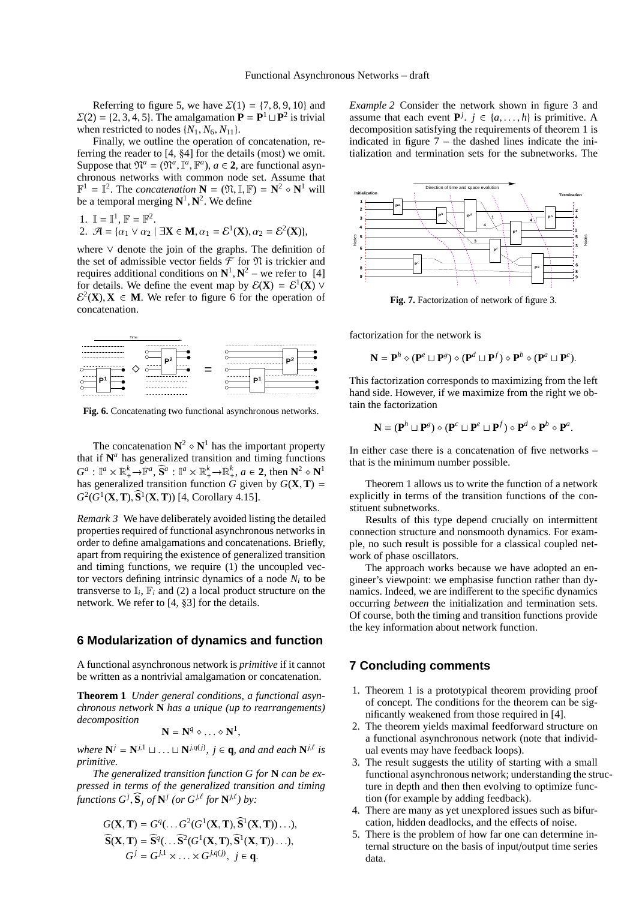Referring to figure 5, we have  $\Sigma(1) = \{7, 8, 9, 10\}$  and  $\Sigma(2) = \{2, 3, 4, 5\}$ . The amalgamation  $P = P<sup>1</sup> \sqcup P<sup>2</sup>$  is trivial when restricted to nodes  $\{N_1, N_6, N_{11}\}.$ 

Finally, we outline the operation of concatenation, referring the reader to [4, §4] for the details (most) we omit. Suppose that  $\mathfrak{N}^a = (\mathfrak{N}^a, \mathbb{I}^a, \mathbb{F}^a)$ ,  $a \in \mathbf{2}$ , are functional asynchronous networks with common node set. Assume that  $\mathbb{F}^1 = \mathbb{I}^2$ . The *concatenation*  $\mathbf{N} = (\mathfrak{N}, \mathbb{I}, \mathbb{F}) = \mathbf{N}^2 \diamond \mathbf{N}^1$  will be a temporal merging  $N^1$ ,  $N^2$ . We define

1. 
$$
\mathbb{I} = \mathbb{I}^1
$$
,  $\mathbb{F} = \mathbb{F}^2$ .  
\n2.  $\mathcal{A} = \{ \alpha_1 \vee \alpha_2 \mid \exists \mathbf{X} \in \mathbf{M}, \alpha_1 = \mathcal{E}^1(\mathbf{X}), \alpha_2 = \mathcal{E}^2(\mathbf{X}) \},$ 

where ∨ denote the join of the graphs. The definition of the set of admissible vector fields  $\mathcal F$  for  $\mathfrak N$  is trickier and requires additional conditions on  $N^1$ ,  $N^2$  – we refer to [4] for details. We define the event map by  $\mathcal{E}(\mathbf{X}) = \mathcal{E}^1(\mathbf{X}) \vee$  $\mathcal{E}^2(\mathbf{X}), \mathbf{X} \in \mathbf{M}$ . We refer to figure 6 for the operation of concatenation.



**Fig. 6.** Concatenating two functional asynchronous networks.

The concatenation  $N^2 \circ N^1$  has the important property that if  $N^a$  has generalized transition and timing functions  $G^a: \mathbb{I}^a \times \mathbb{R}_+^k \to \mathbb{F}^a$ ,  $\widehat{S}^a: \mathbb{I}^a \times \mathbb{R}_+^k \to \mathbb{R}_+^k$ ,  $a \in 2$ , then  $\mathbb{N}^2 \circ \mathbb{N}^1$ has generalized transition function *G* given by  $G(\mathbf{X}, \mathbf{T}) =$  $G^2(G^1(X, T), \hat{S}^1(X, T))$  [4, Corollary 4.15].

*Remark 3* We have deliberately avoided listing the detailed properties required of functional asynchronous networks in order to define amalgamations and concatenations. Briefly, apart from requiring the existence of generalized transition and timing functions, we require (1) the uncoupled vector vectors defining intrinsic dynamics of a node  $N_i$  to be transverse to  $\mathbb{I}_i$ ,  $\mathbb{F}_i$  and (2) a local product structure on the network. We refer to [4, §3] for the details.

# **6 Modularization of dynamics and function**

A functional asynchronous network is *primitive* if it cannot be written as a nontrivial amalgamation or concatenation.

**Theorem 1** *Under general conditions, a functional asynchronous network* **N** *has a unique (up to rearrangements) decomposition*

$$
\mathbf{N} = \mathbf{N}^q \diamond \ldots \diamond \mathbf{N}^1,
$$

*where*  $N^j = N^{j,1} \sqcup \ldots \sqcup N^{j,q(j)}$ ,  $j \in q$ *, and and each*  $N^{j,\ell}$  *is primitive.*

*The generalized transition function G for* **N** *can be expressed in terms of the generalized transition and timing functions*  $G^j$ ,  $\mathbf{\widehat{S}}_j$  *of*  $\mathbf{N}^j$  (*or*  $G^{j,\ell}$  *for*  $\mathbf{N}^{j,\ell}$ *) by:* 

$$
G(\mathbf{X}, \mathbf{T}) = G^{q}(\dots G^{2}(G^{1}(\mathbf{X}, \mathbf{T}), \mathbf{\widehat{S}}^{1}(\mathbf{X}, \mathbf{T}))\dots),
$$
  
\n
$$
\widehat{\mathbf{S}}(\mathbf{X}, \mathbf{T}) = \widehat{\mathbf{S}}^{q}(\dots \widehat{\mathbf{S}}^{2}(G^{1}(\mathbf{X}, \mathbf{T}), \widehat{\mathbf{S}}^{1}(\mathbf{X}, \mathbf{T}))\dots),
$$
  
\n
$$
G^{j} = G^{j,1} \times \dots \times G^{j,q(j)}, \quad j \in \mathbf{q}.
$$

*Example 2* Consider the network shown in figure 3 and assume that each event  $P^j$ .  $j \in \{a, ..., h\}$  is primitive. A decomposition satisfying the requirements of theorem 1 is indicated in figure  $7$  – the dashed lines indicate the initialization and termination sets for the subnetworks. The



**Fig. 7.** Factorization of network of figure 3.

factorization for the network is

$$
\mathbf{N} = \mathbf{P}^h \diamond (\mathbf{P}^e \sqcup \mathbf{P}^g) \diamond (\mathbf{P}^d \sqcup \mathbf{P}^f) \diamond \mathbf{P}^b \diamond (\mathbf{P}^a \sqcup \mathbf{P}^c).
$$

This factorization corresponds to maximizing from the left hand side. However, if we maximize from the right we obtain the factorization

$$
\mathbf{N} = (\mathbf{P}^h \sqcup \mathbf{P}^g) \diamond (\mathbf{P}^c \sqcup \mathbf{P}^e \sqcup \mathbf{P}^f) \diamond \mathbf{P}^d \diamond \mathbf{P}^b \diamond \mathbf{P}^a.
$$

In either case there is a concatenation of five networks – that is the minimum number possible.

Theorem 1 allows us to write the function of a network explicitly in terms of the transition functions of the constituent subnetworks.

Results of this type depend crucially on intermittent connection structure and nonsmooth dynamics. For example, no such result is possible for a classical coupled network of phase oscillators.

The approach works because we have adopted an engineer's viewpoint: we emphasise function rather than dynamics. Indeed, we are indifferent to the specific dynamics occurring *between* the initialization and termination sets. Of course, both the timing and transition functions provide the key information about network function.

## **7 Concluding comments**

- 1. Theorem 1 is a prototypical theorem providing proof of concept. The conditions for the theorem can be significantly weakened from those required in [4].
- 2. The theorem yields maximal feedforward structure on a functional asynchronous network (note that individual events may have feedback loops).
- 3. The result suggests the utility of starting with a small functional asynchronous network; understanding the structure in depth and then then evolving to optimize function (for example by adding feedback).
- 4. There are many as yet unexplored issues such as bifurcation, hidden deadlocks, and the effects of noise.
- 5. There is the problem of how far one can determine internal structure on the basis of input/output time series data.